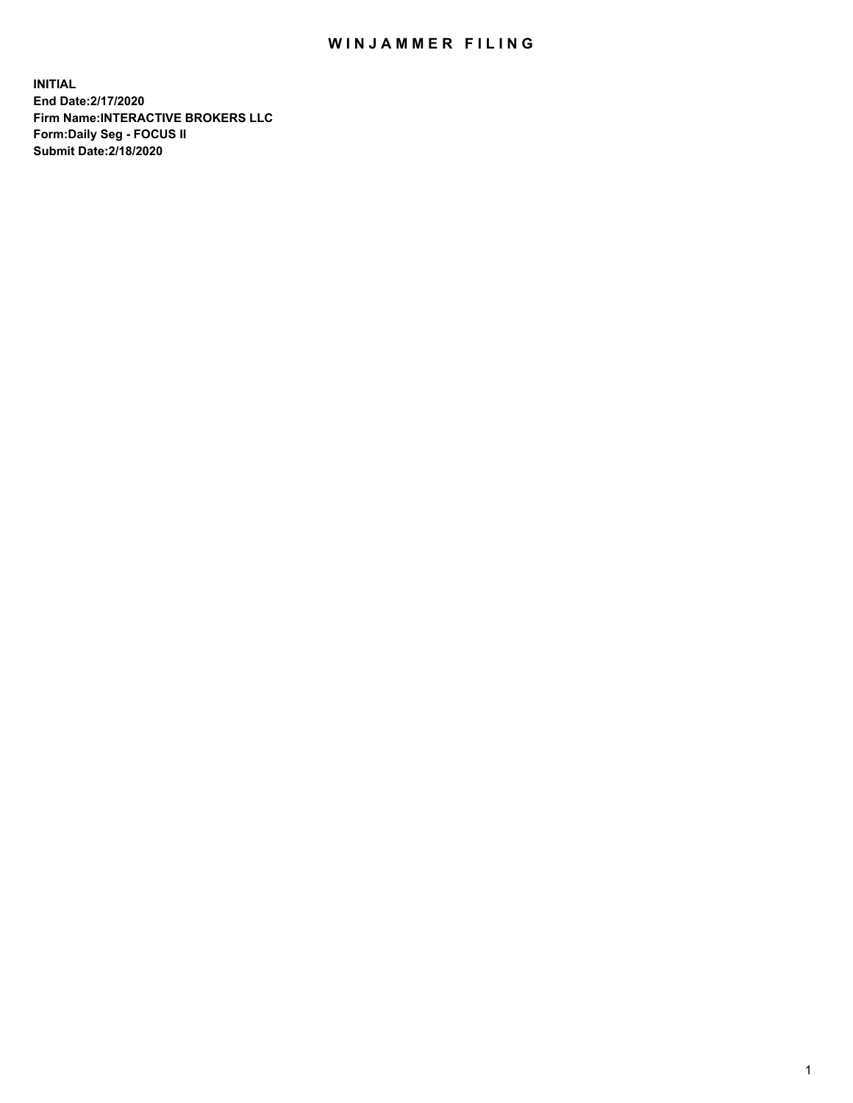## WIN JAMMER FILING

**INITIAL End Date:2/17/2020 Firm Name:INTERACTIVE BROKERS LLC Form:Daily Seg - FOCUS II Submit Date:2/18/2020**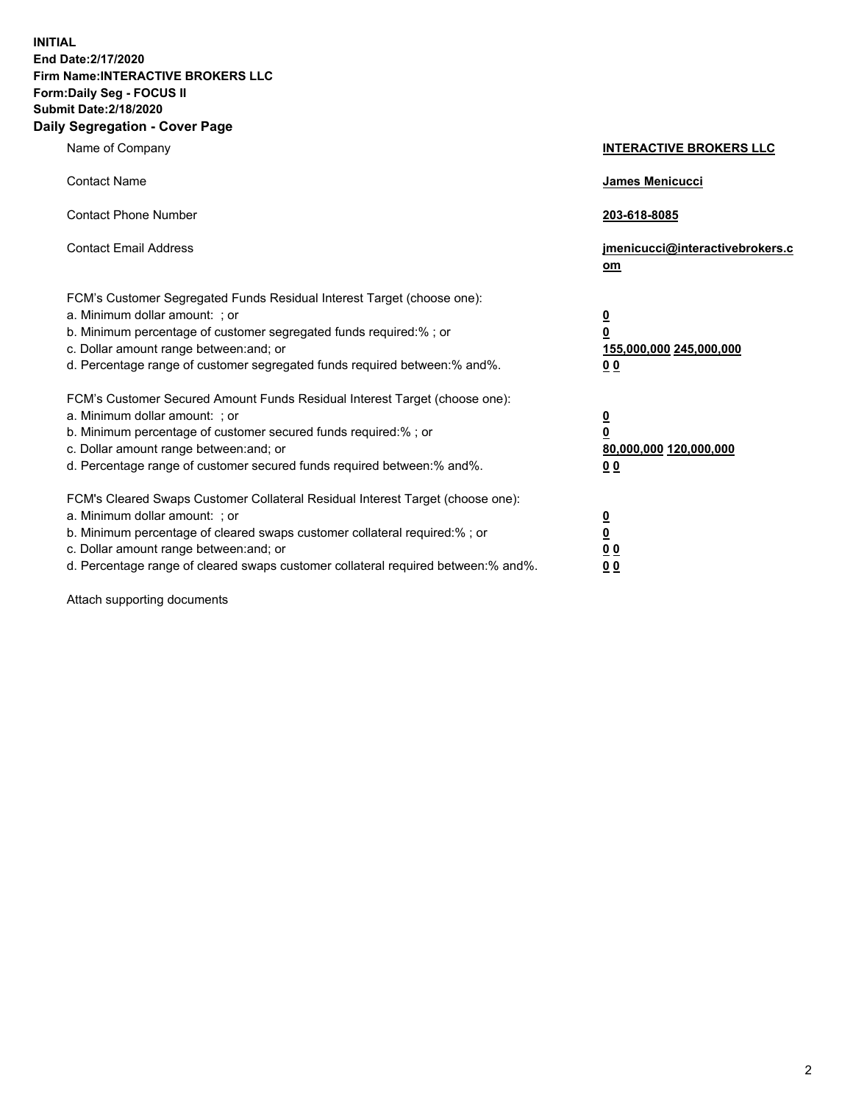**INITIAL End Date:2/17/2020 Firm Name:INTERACTIVE BROKERS LLC Form:Daily Seg - FOCUS II Submit Date:2/18/2020 Daily Segregation - Cover Page**

| Name of Company                                                                                                                                                                                                                                                                                                                | <b>INTERACTIVE BROKERS LLC</b>                                                                  |
|--------------------------------------------------------------------------------------------------------------------------------------------------------------------------------------------------------------------------------------------------------------------------------------------------------------------------------|-------------------------------------------------------------------------------------------------|
| <b>Contact Name</b>                                                                                                                                                                                                                                                                                                            | <b>James Menicucci</b>                                                                          |
| <b>Contact Phone Number</b>                                                                                                                                                                                                                                                                                                    | 203-618-8085                                                                                    |
| <b>Contact Email Address</b>                                                                                                                                                                                                                                                                                                   | jmenicucci@interactivebrokers.c<br>om                                                           |
| FCM's Customer Segregated Funds Residual Interest Target (choose one):<br>a. Minimum dollar amount: ; or<br>b. Minimum percentage of customer segregated funds required:% ; or<br>c. Dollar amount range between: and; or<br>d. Percentage range of customer segregated funds required between: % and %.                       | $\overline{\mathbf{0}}$<br>$\overline{\mathbf{0}}$<br>155,000,000 245,000,000<br>0 <sub>0</sub> |
| FCM's Customer Secured Amount Funds Residual Interest Target (choose one):<br>a. Minimum dollar amount: ; or<br>b. Minimum percentage of customer secured funds required:%; or<br>c. Dollar amount range between: and; or<br>d. Percentage range of customer secured funds required between:% and%.                            | $\overline{\mathbf{0}}$<br>$\overline{\mathbf{0}}$<br>80,000,000 120,000,000<br>0 <sub>0</sub>  |
| FCM's Cleared Swaps Customer Collateral Residual Interest Target (choose one):<br>a. Minimum dollar amount: ; or<br>b. Minimum percentage of cleared swaps customer collateral required:% ; or<br>c. Dollar amount range between: and; or<br>d. Percentage range of cleared swaps customer collateral required between:% and%. | $\overline{\mathbf{0}}$<br>$\underline{\mathbf{0}}$<br>0 <sub>0</sub><br>00                     |

Attach supporting documents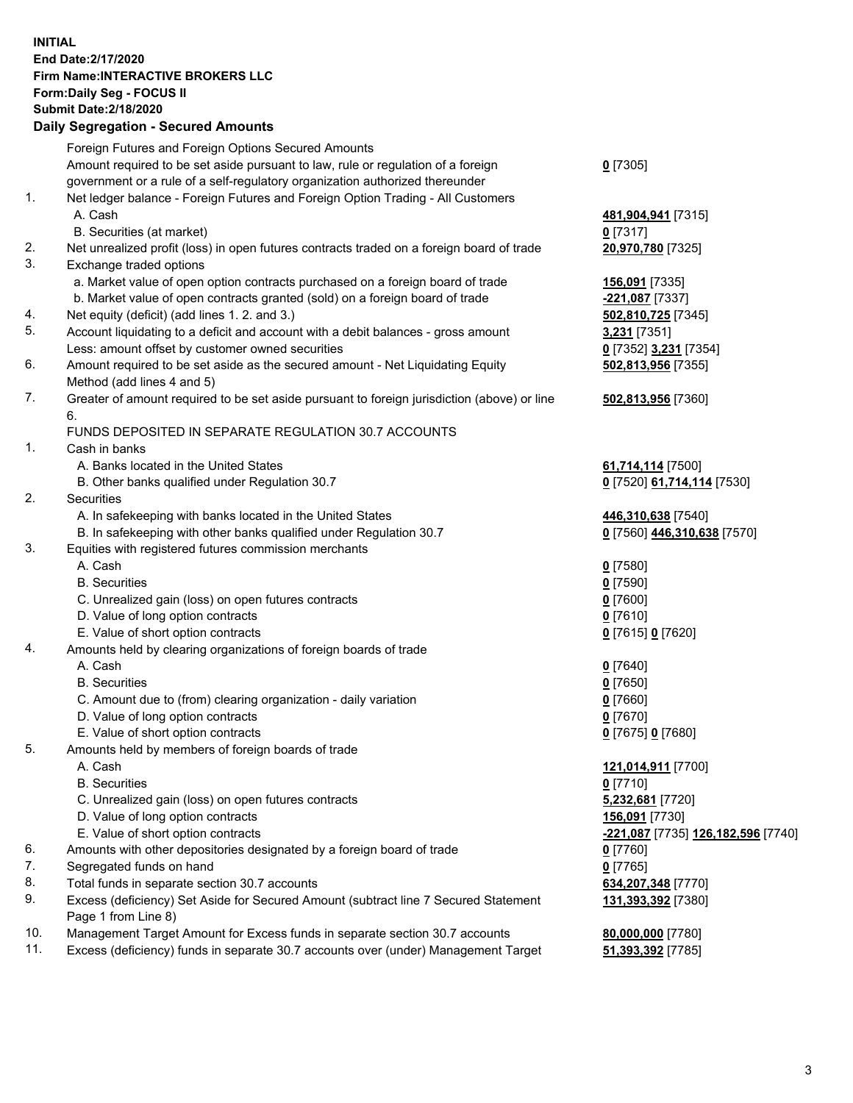## **INITIAL End Date:2/17/2020 Firm Name:INTERACTIVE BROKERS LLC Form:Daily Seg - FOCUS II Submit Date:2/18/2020 Daily Segregation - Secured Amounts**

|                | 2011, Ocglegation - Oceaned Anioanto                                                              |                                                  |
|----------------|---------------------------------------------------------------------------------------------------|--------------------------------------------------|
|                | Foreign Futures and Foreign Options Secured Amounts                                               |                                                  |
|                | Amount required to be set aside pursuant to law, rule or regulation of a foreign                  | $0$ [7305]                                       |
|                | government or a rule of a self-regulatory organization authorized thereunder                      |                                                  |
| $\mathbf{1}$ . | Net ledger balance - Foreign Futures and Foreign Option Trading - All Customers                   |                                                  |
|                | A. Cash                                                                                           | 481,904,941 [7315]                               |
|                | B. Securities (at market)                                                                         | $0$ [7317]                                       |
| 2.             | Net unrealized profit (loss) in open futures contracts traded on a foreign board of trade         | 20,970,780 [7325]                                |
| 3.             | Exchange traded options                                                                           |                                                  |
|                | a. Market value of open option contracts purchased on a foreign board of trade                    | 156,091 [7335]                                   |
|                | b. Market value of open contracts granted (sold) on a foreign board of trade                      | -221,087 [7337]                                  |
| 4.             | Net equity (deficit) (add lines 1. 2. and 3.)                                                     | 502,810,725 [7345]                               |
| 5.             | Account liquidating to a deficit and account with a debit balances - gross amount                 | 3,231 [7351]                                     |
|                | Less: amount offset by customer owned securities                                                  | 0 [7352] 3,231 [7354]                            |
| 6.             | Amount required to be set aside as the secured amount - Net Liquidating Equity                    | 502,813,956 [7355]                               |
|                | Method (add lines 4 and 5)                                                                        |                                                  |
| 7.             | Greater of amount required to be set aside pursuant to foreign jurisdiction (above) or line<br>6. | 502,813,956 [7360]                               |
|                | FUNDS DEPOSITED IN SEPARATE REGULATION 30.7 ACCOUNTS                                              |                                                  |
| 1.             | Cash in banks                                                                                     |                                                  |
|                | A. Banks located in the United States                                                             | 61,714,114 [7500]                                |
|                | B. Other banks qualified under Regulation 30.7                                                    | 0 [7520] 61,714,114 [7530]                       |
| 2.             | <b>Securities</b>                                                                                 |                                                  |
|                | A. In safekeeping with banks located in the United States                                         | 446,310,638 [7540]                               |
|                | B. In safekeeping with other banks qualified under Regulation 30.7                                | 0 [7560] 446,310,638 [7570]                      |
| 3.             | Equities with registered futures commission merchants                                             |                                                  |
|                | A. Cash                                                                                           | $0$ [7580]                                       |
|                | <b>B.</b> Securities                                                                              | $0$ [7590]                                       |
|                | C. Unrealized gain (loss) on open futures contracts                                               | $0$ [7600]                                       |
|                | D. Value of long option contracts                                                                 | $0$ [7610]                                       |
|                | E. Value of short option contracts                                                                | 0 [7615] 0 [7620]                                |
| 4.             | Amounts held by clearing organizations of foreign boards of trade                                 |                                                  |
|                | A. Cash                                                                                           | $0$ [7640]                                       |
|                | <b>B.</b> Securities                                                                              | $0$ [7650]                                       |
|                | C. Amount due to (from) clearing organization - daily variation                                   | $0$ [7660]                                       |
|                | D. Value of long option contracts                                                                 | $0$ [7670]                                       |
|                | E. Value of short option contracts                                                                | 0 [7675] 0 [7680]                                |
| 5.             | Amounts held by members of foreign boards of trade                                                |                                                  |
|                | A. Cash                                                                                           | 121,014,911 [7700]                               |
|                | <b>B.</b> Securities                                                                              | $0$ [7710]                                       |
|                | C. Unrealized gain (loss) on open futures contracts                                               | 5,232,681 [7720]                                 |
|                | D. Value of long option contracts                                                                 | 156,091 [7730]                                   |
|                | E. Value of short option contracts                                                                | <u>-221,087</u> [7735] <u>126,182,596</u> [7740] |
| 6.             | Amounts with other depositories designated by a foreign board of trade                            | $0$ [7760]                                       |
| 7.             | Segregated funds on hand                                                                          | $0$ [7765]                                       |
| 8.             | Total funds in separate section 30.7 accounts                                                     | 634,207,348 [7770]                               |
| 9.             | Excess (deficiency) Set Aside for Secured Amount (subtract line 7 Secured Statement               | 131,393,392 [7380]                               |
|                | Page 1 from Line 8)                                                                               |                                                  |
| 10.            | Management Target Amount for Excess funds in separate section 30.7 accounts                       | 80,000,000 [7780]                                |
| 11.            | Excess (deficiency) funds in separate 30.7 accounts over (under) Management Target                | 51,393,392 [7785]                                |
|                |                                                                                                   |                                                  |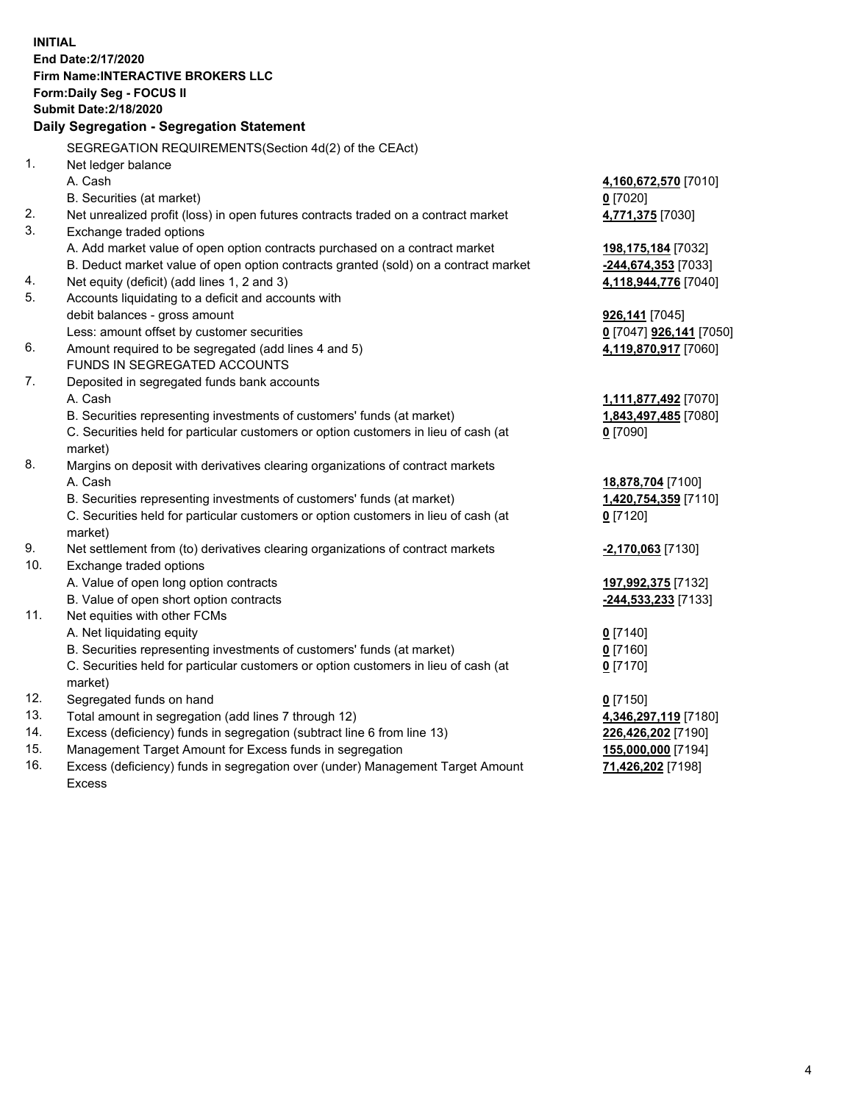**INITIAL End Date:2/17/2020 Firm Name:INTERACTIVE BROKERS LLC Form:Daily Seg - FOCUS II Submit Date:2/18/2020 Daily Segregation - Segregation Statement** SEGREGATION REQUIREMENTS(Section 4d(2) of the CEAct) 1. Net ledger balance A. Cash **4,160,672,570** [7010] B. Securities (at market) **0** [7020] 2. Net unrealized profit (loss) in open futures contracts traded on a contract market **4,771,375** [7030] 3. Exchange traded options A. Add market value of open option contracts purchased on a contract market **198,175,184** [7032] B. Deduct market value of open option contracts granted (sold) on a contract market **-244,674,353** [7033] 4. Net equity (deficit) (add lines 1, 2 and 3) **4,118,944,776** [7040] 5. Accounts liquidating to a deficit and accounts with debit balances - gross amount **926,141** [7045] Less: amount offset by customer securities **0** [7047] **926,141** [7050] 6. Amount required to be segregated (add lines 4 and 5) **4,119,870,917** [7060] FUNDS IN SEGREGATED ACCOUNTS 7. Deposited in segregated funds bank accounts A. Cash **1,111,877,492** [7070] B. Securities representing investments of customers' funds (at market) **1,843,497,485** [7080] C. Securities held for particular customers or option customers in lieu of cash (at market) **0** [7090] 8. Margins on deposit with derivatives clearing organizations of contract markets A. Cash **18,878,704** [7100] B. Securities representing investments of customers' funds (at market) **1,420,754,359** [7110] C. Securities held for particular customers or option customers in lieu of cash (at market) **0** [7120] 9. Net settlement from (to) derivatives clearing organizations of contract markets **-2,170,063** [7130] 10. Exchange traded options A. Value of open long option contracts **197,992,375** [7132] B. Value of open short option contracts **-244,533,233** [7133] 11. Net equities with other FCMs A. Net liquidating equity **0** [7140] B. Securities representing investments of customers' funds (at market) **0** [7160] C. Securities held for particular customers or option customers in lieu of cash (at market) **0** [7170] 12. Segregated funds on hand **0** [7150] 13. Total amount in segregation (add lines 7 through 12) **4,346,297,119** [7180] 14. Excess (deficiency) funds in segregation (subtract line 6 from line 13) **226,426,202** [7190] 15. Management Target Amount for Excess funds in segregation **155,000,000** [7194] **71,426,202** [7198]

16. Excess (deficiency) funds in segregation over (under) Management Target Amount Excess